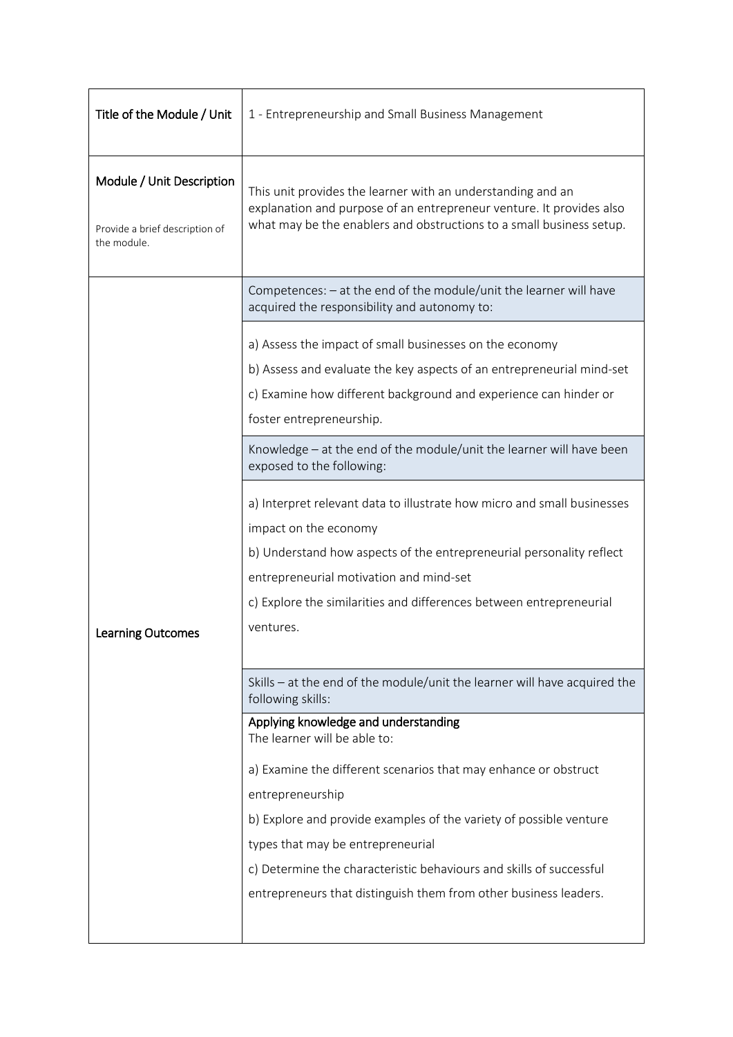| Title of the Module / Unit                                                 | 1 - Entrepreneurship and Small Business Management                                                                                                                                                                                                                                                                                                                                                                |  |
|----------------------------------------------------------------------------|-------------------------------------------------------------------------------------------------------------------------------------------------------------------------------------------------------------------------------------------------------------------------------------------------------------------------------------------------------------------------------------------------------------------|--|
| Module / Unit Description<br>Provide a brief description of<br>the module. | This unit provides the learner with an understanding and an<br>explanation and purpose of an entrepreneur venture. It provides also<br>what may be the enablers and obstructions to a small business setup.                                                                                                                                                                                                       |  |
|                                                                            | Competences: - at the end of the module/unit the learner will have<br>acquired the responsibility and autonomy to:                                                                                                                                                                                                                                                                                                |  |
|                                                                            | a) Assess the impact of small businesses on the economy<br>b) Assess and evaluate the key aspects of an entrepreneurial mind-set<br>c) Examine how different background and experience can hinder or<br>foster entrepreneurship.                                                                                                                                                                                  |  |
|                                                                            | Knowledge - at the end of the module/unit the learner will have been<br>exposed to the following:                                                                                                                                                                                                                                                                                                                 |  |
| <b>Learning Outcomes</b>                                                   | a) Interpret relevant data to illustrate how micro and small businesses<br>impact on the economy<br>b) Understand how aspects of the entrepreneurial personality reflect<br>entrepreneurial motivation and mind-set<br>c) Explore the similarities and differences between entrepreneurial<br>ventures.                                                                                                           |  |
|                                                                            | Skills - at the end of the module/unit the learner will have acquired the<br>following skills:                                                                                                                                                                                                                                                                                                                    |  |
|                                                                            | Applying knowledge and understanding<br>The learner will be able to:<br>a) Examine the different scenarios that may enhance or obstruct<br>entrepreneurship<br>b) Explore and provide examples of the variety of possible venture<br>types that may be entrepreneurial<br>c) Determine the characteristic behaviours and skills of successful<br>entrepreneurs that distinguish them from other business leaders. |  |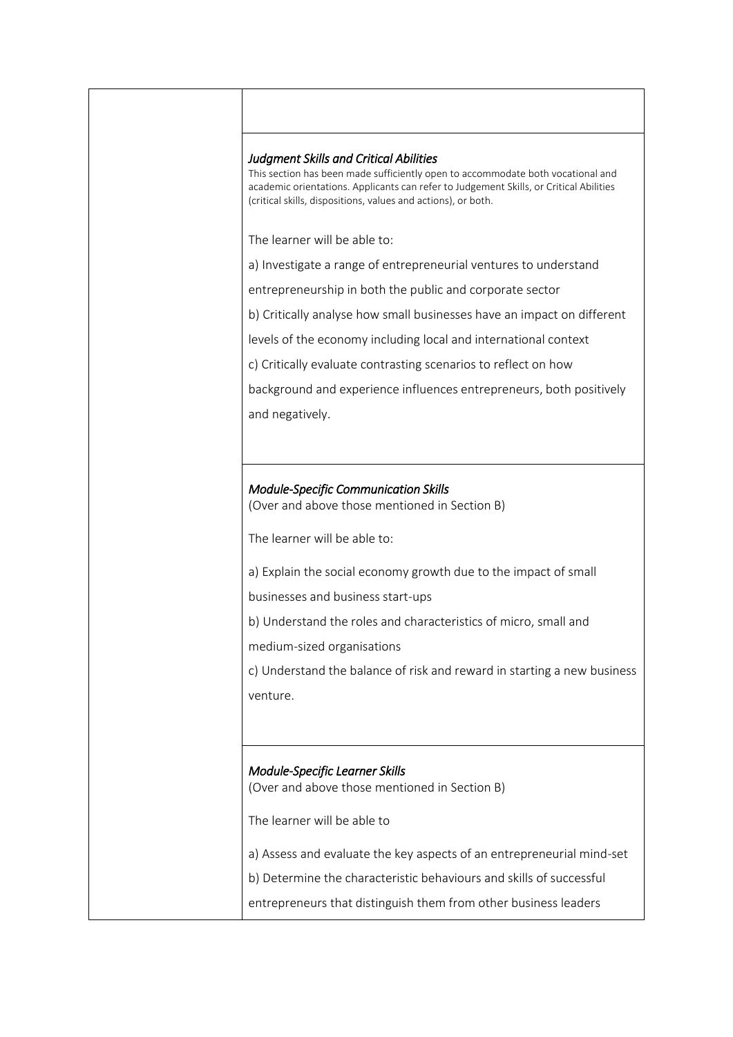## *Judgment Skills and Critical Abilities*

This section has been made sufficiently open to accommodate both vocational and academic orientations. Applicants can refer to Judgement Skills, or Critical Abilities (critical skills, dispositions, values and actions), or both.

The learner will be able to:

a) Investigate a range of entrepreneurial ventures to understand

entrepreneurship in both the public and corporate sector

b) Critically analyse how small businesses have an impact on different

levels of the economy including local and international context

c) Critically evaluate contrasting scenarios to reflect on how

background and experience influences entrepreneurs, both positively and negatively.

## *Module-Specific Communication Skills*

(Over and above those mentioned in Section B)

The learner will be able to:

a) Explain the social economy growth due to the impact of small

businesses and business start-ups

b) Understand the roles and characteristics of micro, small and

medium-sized organisations

c) Understand the balance of risk and reward in starting a new business venture.

## *Module-Specific Learner Skills*

(Over and above those mentioned in Section B)

The learner will be able to

- a) Assess and evaluate the key aspects of an entrepreneurial mind-set
- b) Determine the characteristic behaviours and skills of successful
- entrepreneurs that distinguish them from other business leaders